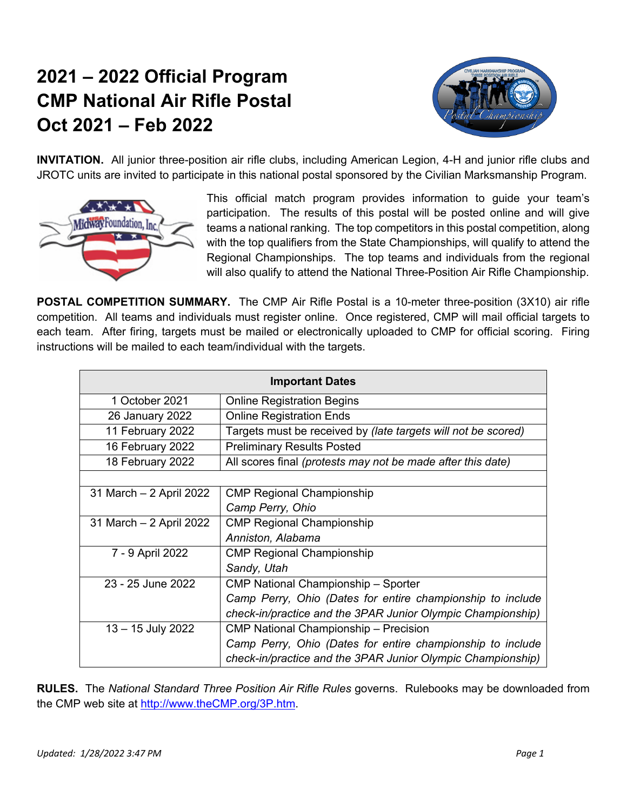## **2021 – 2022 Official Program CMP National Air Rifle Postal Oct 2021 – Feb 2022**



**INVITATION.** All junior three-position air rifle clubs, including American Legion, 4-H and junior rifle clubs and JROTC units are invited to participate in this national postal sponsored by the Civilian Marksmanship Program.



This official match program provides information to guide your team's participation. The results of this postal will be posted online and will give teams a national ranking. The top competitors in this postal competition, along with the top qualifiers from the State Championships, will qualify to attend the Regional Championships. The top teams and individuals from the regional will also qualify to attend the National Three-Position Air Rifle Championship.

**POSTAL COMPETITION SUMMARY.** The CMP Air Rifle Postal is a 10-meter three-position (3X10) air rifle competition. All teams and individuals must register online. Once registered, CMP will mail official targets to each team. After firing, targets must be mailed or electronically uploaded to CMP for official scoring. Firing instructions will be mailed to each team/individual with the targets.

| <b>Important Dates</b>  |                                                               |  |  |  |
|-------------------------|---------------------------------------------------------------|--|--|--|
| 1 October 2021          | <b>Online Registration Begins</b>                             |  |  |  |
| 26 January 2022         | <b>Online Registration Ends</b>                               |  |  |  |
| 11 February 2022        | Targets must be received by (late targets will not be scored) |  |  |  |
| 16 February 2022        | <b>Preliminary Results Posted</b>                             |  |  |  |
| 18 February 2022        | All scores final (protests may not be made after this date)   |  |  |  |
|                         |                                                               |  |  |  |
| 31 March - 2 April 2022 | <b>CMP Regional Championship</b>                              |  |  |  |
|                         | Camp Perry, Ohio                                              |  |  |  |
| 31 March - 2 April 2022 | <b>CMP Regional Championship</b>                              |  |  |  |
|                         | Anniston, Alabama                                             |  |  |  |
| 7 - 9 April 2022        | <b>CMP Regional Championship</b>                              |  |  |  |
|                         | Sandy, Utah                                                   |  |  |  |
| 23 - 25 June 2022       | CMP National Championship - Sporter                           |  |  |  |
|                         | Camp Perry, Ohio (Dates for entire championship to include    |  |  |  |
|                         | check-in/practice and the 3PAR Junior Olympic Championship)   |  |  |  |
| 13 - 15 July 2022       | CMP National Championship - Precision                         |  |  |  |
|                         | Camp Perry, Ohio (Dates for entire championship to include    |  |  |  |
|                         | check-in/practice and the 3PAR Junior Olympic Championship)   |  |  |  |

**RULES.** The *National Standard Three Position Air Rifle Rules* governs. Rulebooks may be downloaded from the CMP web site at http://www.theCMP.org/3P.htm.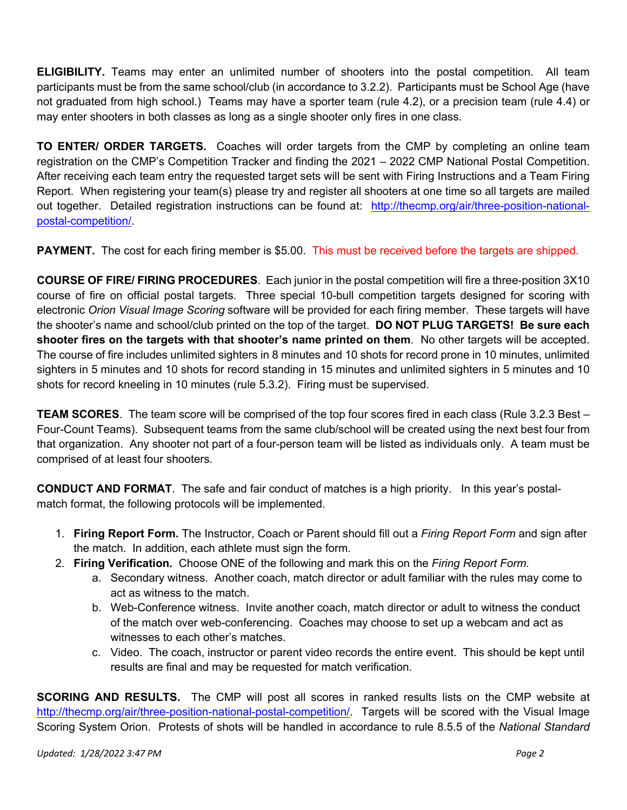**ELIGIBILITY.** Teams may enter an unlimited number of shooters into the postal competition. All team participants must be from the same school/club (in accordance to 3.2.2). Participants must be School Age (have not graduated from high school.) Teams may have a sporter team (rule 4.2), or a precision team (rule 4.4) or may enter shooters in both classes as long as a single shooter only fires in one class.

**TO ENTER/ ORDER TARGETS.** Coaches will order targets from the CMP by completing an online team registration on the CMP's Competition Tracker and finding the 2021 – 2022 CMP National Postal Competition. After receiving each team entry the requested target sets will be sent with Firing Instructions and a Team Firing Report. When registering your team(s) please try and register all shooters at one time so all targets are mailed out together. Detailed registration instructions can be found at: http://thecmp.org/air/three-position-nationalpostal-competition/.

**PAYMENT.** The cost for each firing member is \$5.00. This must be received before the targets are shipped.

**COURSE OF FIRE/ FIRING PROCEDURES**. Each junior in the postal competition will fire a three-position 3X10 course of fire on official postal targets. Three special 10-bull competition targets designed for scoring with electronic *Orion Visual Image Scoring* software will be provided for each firing member. These targets will have the shooter's name and school/club printed on the top of the target. **DO NOT PLUG TARGETS! Be sure each shooter fires on the targets with that shooter's name printed on them**. No other targets will be accepted. The course of fire includes unlimited sighters in 8 minutes and 10 shots for record prone in 10 minutes, unlimited sighters in 5 minutes and 10 shots for record standing in 15 minutes and unlimited sighters in 5 minutes and 10 shots for record kneeling in 10 minutes (rule 5.3.2). Firing must be supervised.

**TEAM SCORES**. The team score will be comprised of the top four scores fired in each class (Rule 3.2.3 Best – Four-Count Teams). Subsequent teams from the same club/school will be created using the next best four from that organization. Any shooter not part of a four-person team will be listed as individuals only. A team must be comprised of at least four shooters.

**CONDUCT AND FORMAT**. The safe and fair conduct of matches is a high priority. In this year's postalmatch format, the following protocols will be implemented.

- 1. **Firing Report Form.** The Instructor, Coach or Parent should fill out a *Firing Report Form* and sign after the match. In addition, each athlete must sign the form.
- 2. **Firing Verification.** Choose ONE of the following and mark this on the *Firing Report Form.*
	- a. Secondary witness. Another coach, match director or adult familiar with the rules may come to act as witness to the match.
	- b. Web-Conference witness. Invite another coach, match director or adult to witness the conduct of the match over web-conferencing. Coaches may choose to set up a webcam and act as witnesses to each other's matches.
	- c. Video. The coach, instructor or parent video records the entire event. This should be kept until results are final and may be requested for match verification.

**SCORING AND RESULTS.** The CMP will post all scores in ranked results lists on the CMP website at http://thecmp.org/air/three-position-national-postal-competition/. Targets will be scored with the Visual Image Scoring System Orion. Protests of shots will be handled in accordance to rule 8.5.5 of the *National Standard*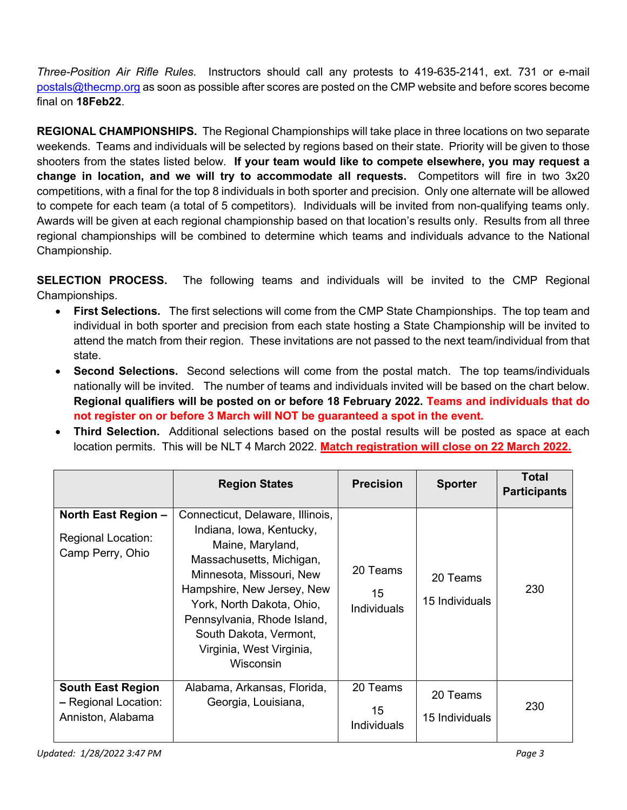*Three-Position Air Rifle Rules*. Instructors should call any protests to 419-635-2141, ext. 731 or e-mail postals@thecmp.org as soon as possible after scores are posted on the CMP website and before scores become final on **18Feb22**.

**REGIONAL CHAMPIONSHIPS.** The Regional Championships will take place in three locations on two separate weekends. Teams and individuals will be selected by regions based on their state. Priority will be given to those shooters from the states listed below. **If your team would like to compete elsewhere, you may request a change in location, and we will try to accommodate all requests.** Competitors will fire in two 3x20 competitions, with a final for the top 8 individuals in both sporter and precision. Only one alternate will be allowed to compete for each team (a total of 5 competitors). Individuals will be invited from non-qualifying teams only. Awards will be given at each regional championship based on that location's results only. Results from all three regional championships will be combined to determine which teams and individuals advance to the National Championship.

**SELECTION PROCESS.** The following teams and individuals will be invited to the CMP Regional Championships.

- **First Selections.** The first selections will come from the CMP State Championships. The top team and individual in both sporter and precision from each state hosting a State Championship will be invited to attend the match from their region. These invitations are not passed to the next team/individual from that state.
- **Second Selections.** Second selections will come from the postal match. The top teams/individuals nationally will be invited. The number of teams and individuals invited will be based on the chart below. **Regional qualifiers will be posted on or before 18 February 2022. Teams and individuals that do not register on or before 3 March will NOT be guaranteed a spot in the event.**
- **Third Selection.** Additional selections based on the postal results will be posted as space at each location permits. This will be NLT 4 March 2022. **Match registration will close on 22 March 2022.**

|                                                                       | <b>Region States</b>                                                                                                                                                                                                                                                                                  | <b>Precision</b>              | <b>Sporter</b>             | Total<br><b>Participants</b> |
|-----------------------------------------------------------------------|-------------------------------------------------------------------------------------------------------------------------------------------------------------------------------------------------------------------------------------------------------------------------------------------------------|-------------------------------|----------------------------|------------------------------|
| North East Region -<br><b>Regional Location:</b><br>Camp Perry, Ohio  | Connecticut, Delaware, Illinois,<br>Indiana, Iowa, Kentucky,<br>Maine, Maryland,<br>Massachusetts, Michigan,<br>Minnesota, Missouri, New<br>Hampshire, New Jersey, New<br>York, North Dakota, Ohio,<br>Pennsylvania, Rhode Island,<br>South Dakota, Vermont,<br>Virginia, West Virginia,<br>Wisconsin | 20 Teams<br>15<br>Individuals | 20 Teams<br>15 Individuals | 230                          |
| <b>South East Region</b><br>- Regional Location:<br>Anniston, Alabama | Alabama, Arkansas, Florida,<br>Georgia, Louisiana,                                                                                                                                                                                                                                                    | 20 Teams<br>15<br>Individuals | 20 Teams<br>15 Individuals | 230                          |